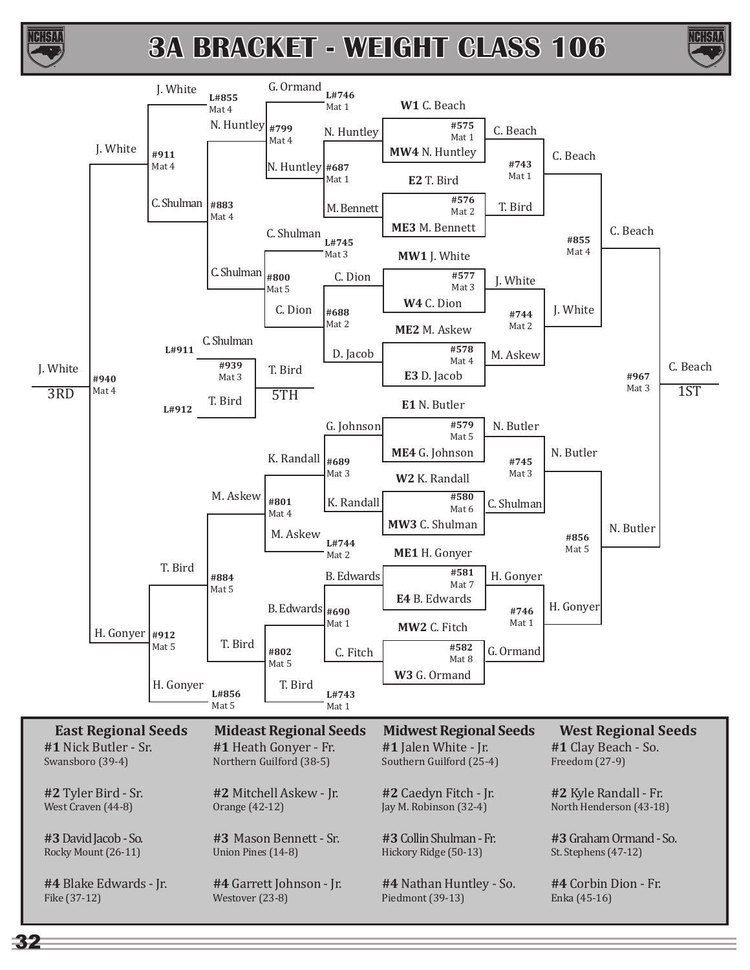



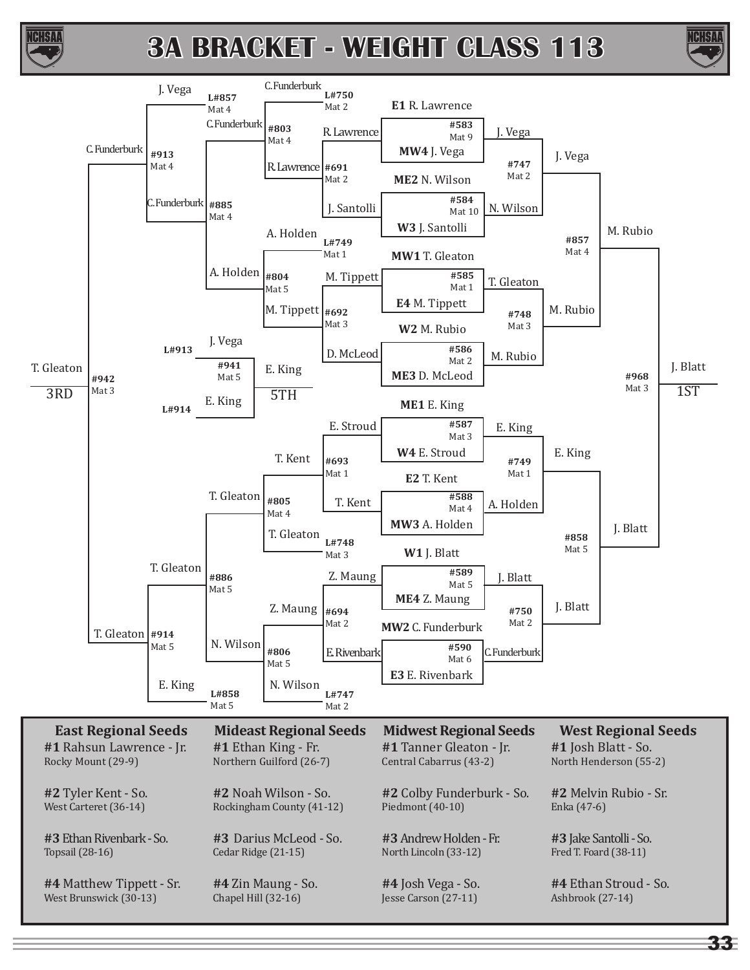![](_page_1_Picture_0.jpeg)

![](_page_1_Picture_2.jpeg)

![](_page_1_Figure_3.jpeg)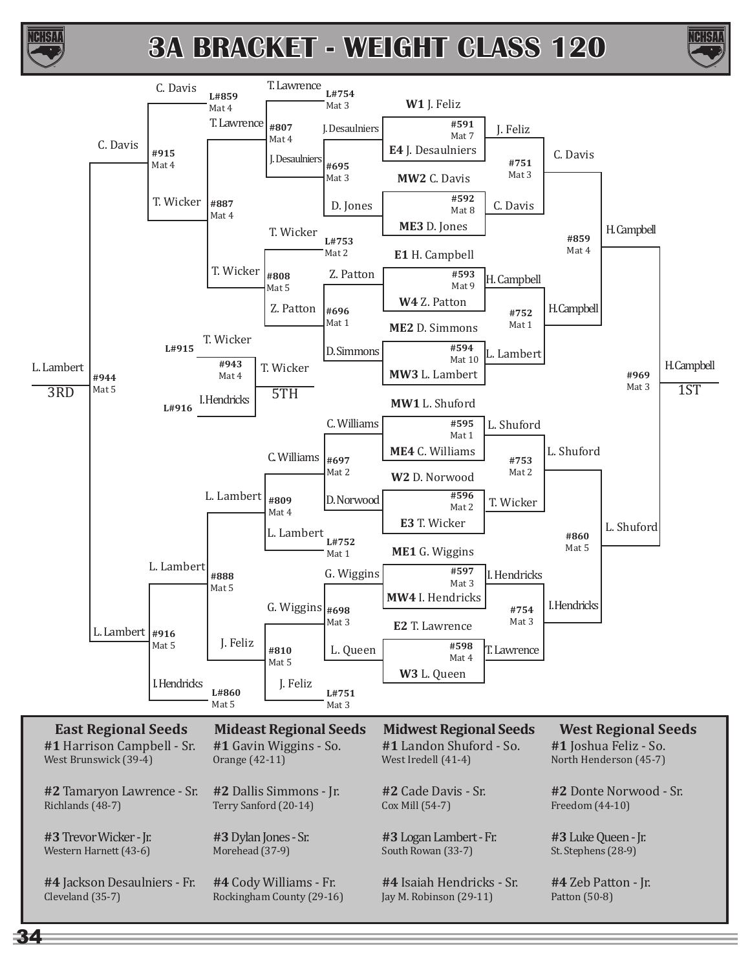![](_page_2_Picture_0.jpeg)

![](_page_2_Picture_2.jpeg)

![](_page_2_Figure_3.jpeg)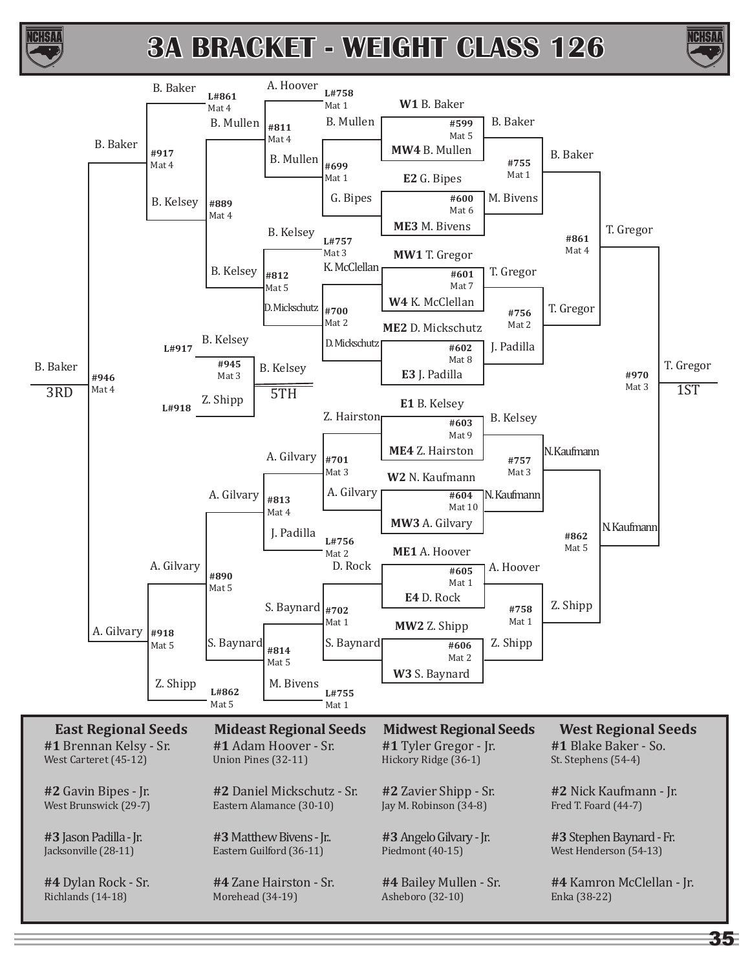![](_page_3_Picture_0.jpeg)

![](_page_3_Picture_2.jpeg)

![](_page_3_Figure_3.jpeg)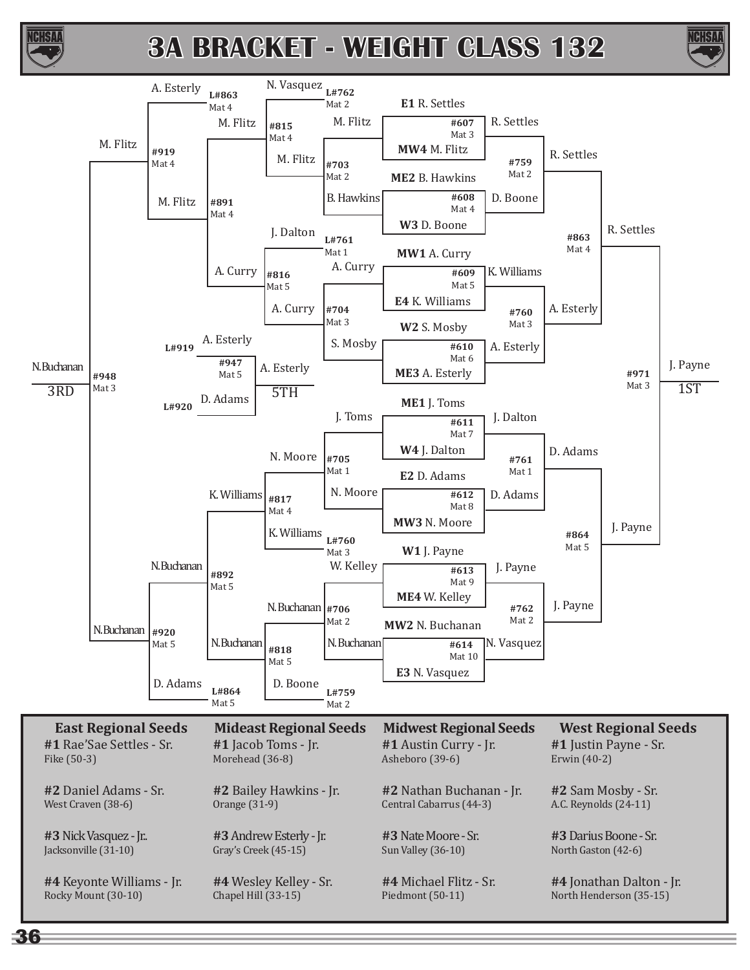![](_page_4_Picture_0.jpeg)

36

![](_page_4_Picture_2.jpeg)

![](_page_4_Figure_3.jpeg)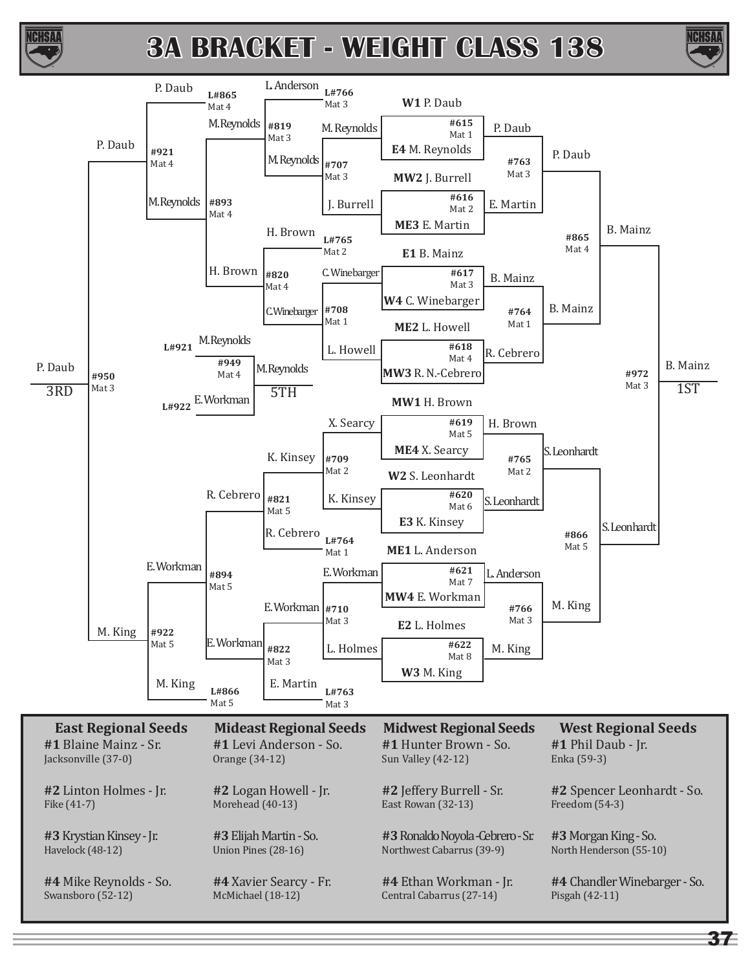![](_page_5_Picture_0.jpeg)

![](_page_5_Picture_2.jpeg)

![](_page_5_Figure_3.jpeg)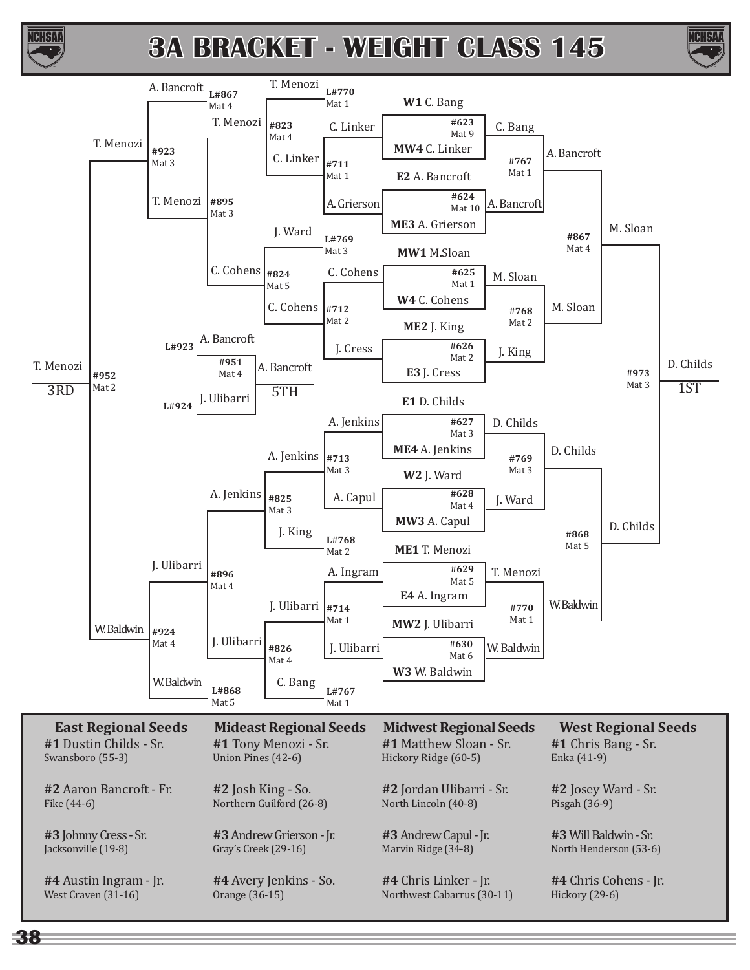![](_page_6_Picture_0.jpeg)

![](_page_6_Picture_2.jpeg)

![](_page_6_Figure_3.jpeg)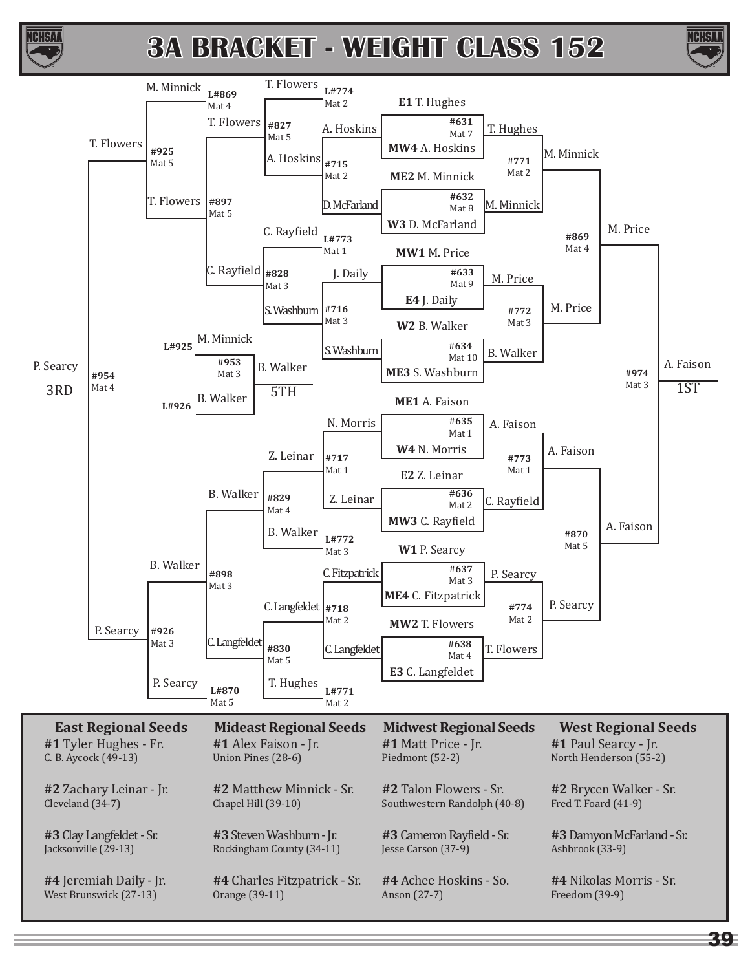![](_page_7_Picture_0.jpeg)

![](_page_7_Picture_2.jpeg)

![](_page_7_Figure_3.jpeg)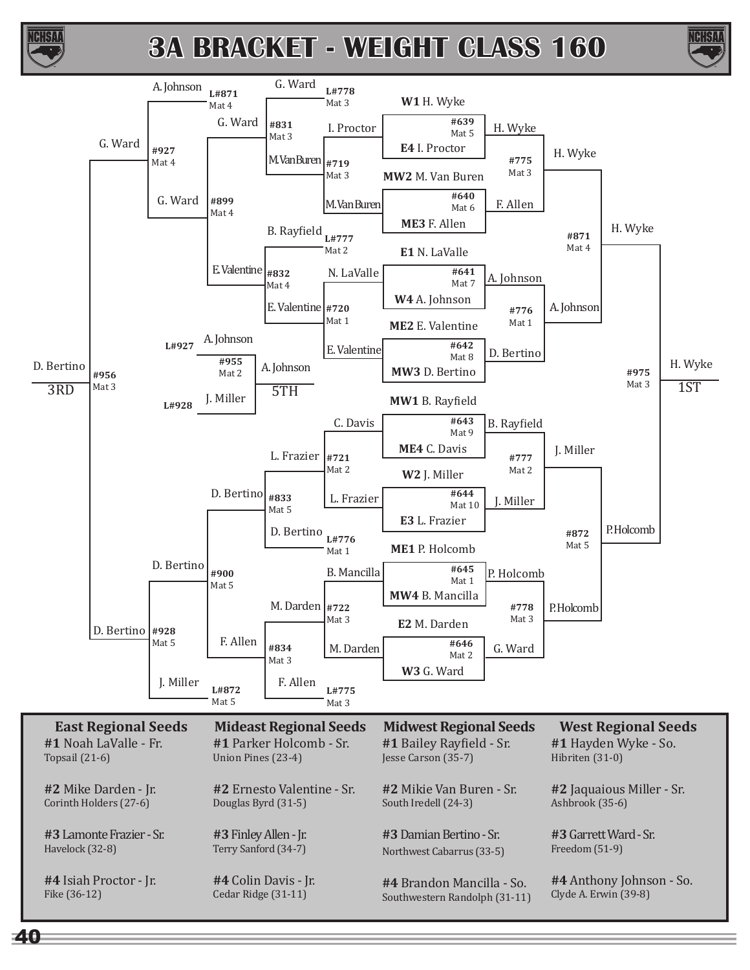![](_page_8_Picture_0.jpeg)

![](_page_8_Picture_2.jpeg)

![](_page_8_Figure_3.jpeg)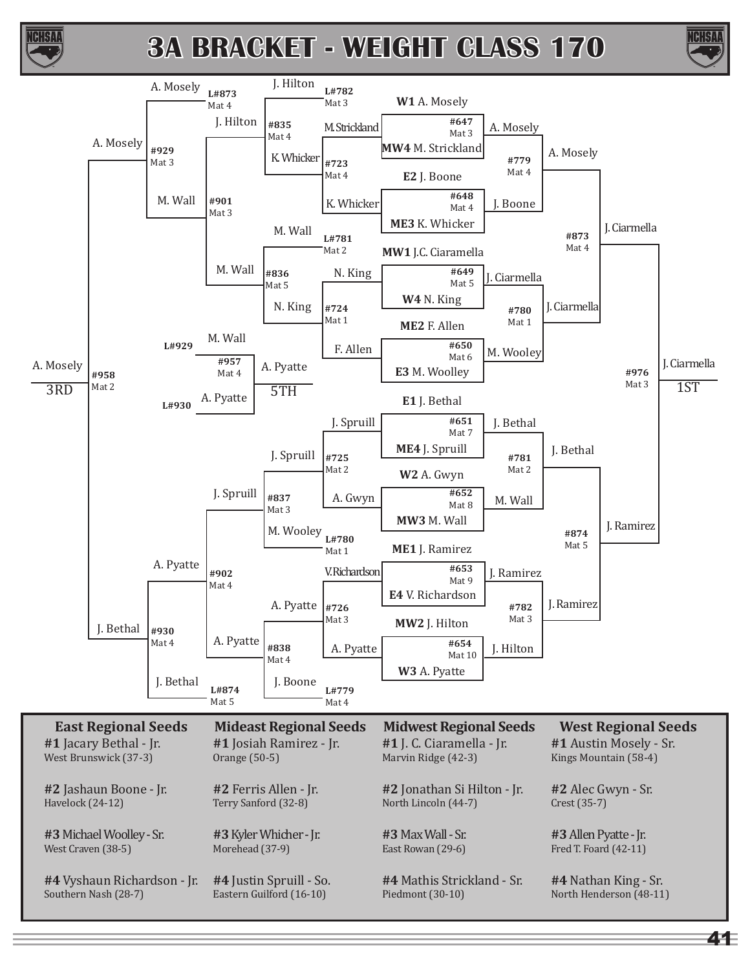![](_page_9_Picture_0.jpeg)

![](_page_9_Picture_2.jpeg)

![](_page_9_Figure_3.jpeg)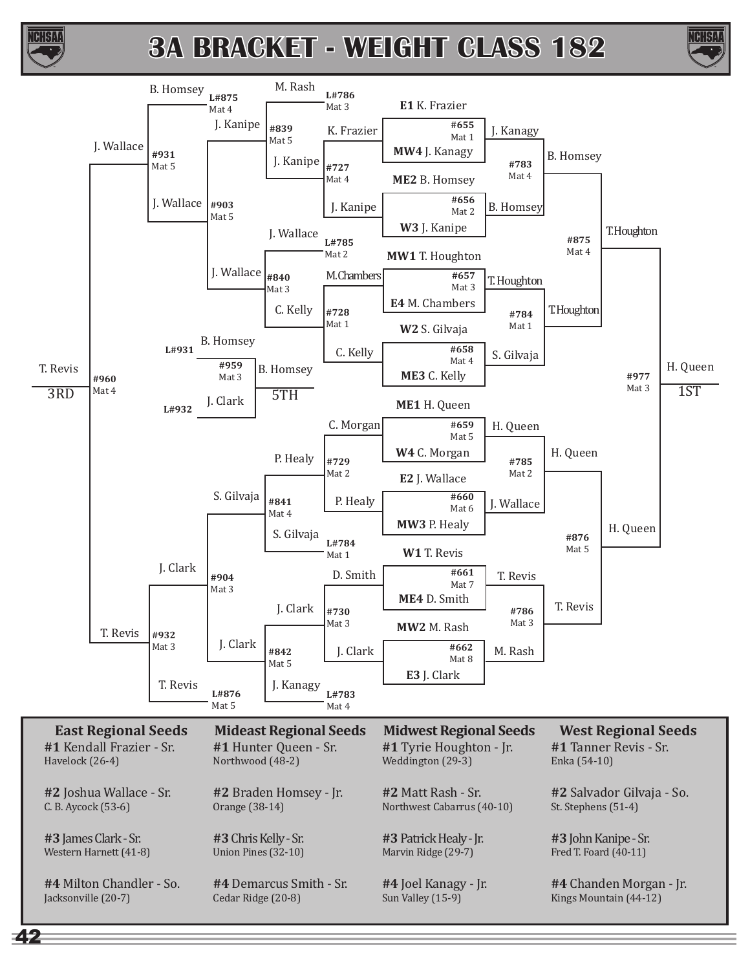![](_page_10_Picture_0.jpeg)

42

![](_page_10_Picture_2.jpeg)

![](_page_10_Figure_3.jpeg)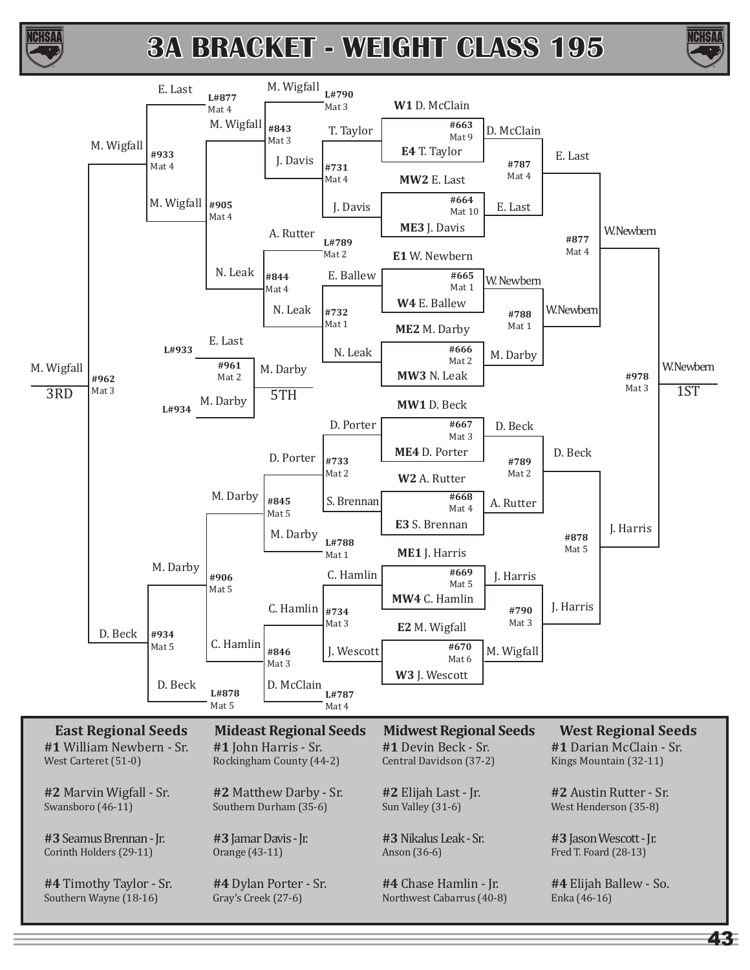![](_page_11_Picture_0.jpeg)

![](_page_11_Picture_2.jpeg)

![](_page_11_Figure_3.jpeg)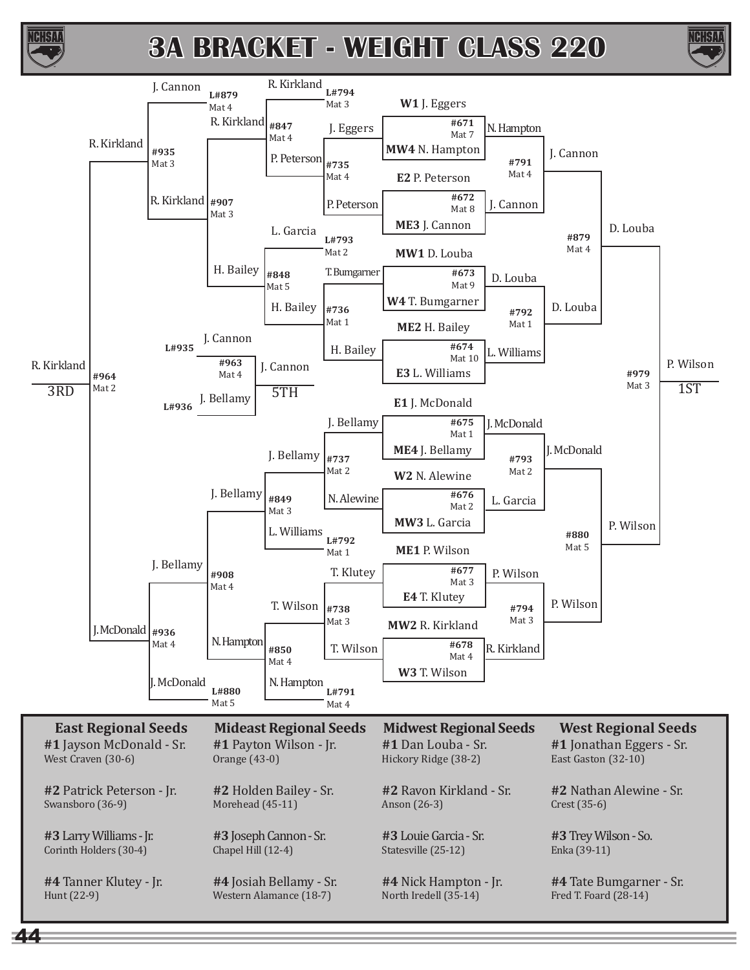![](_page_12_Picture_0.jpeg)

44

![](_page_12_Picture_2.jpeg)

![](_page_12_Figure_3.jpeg)